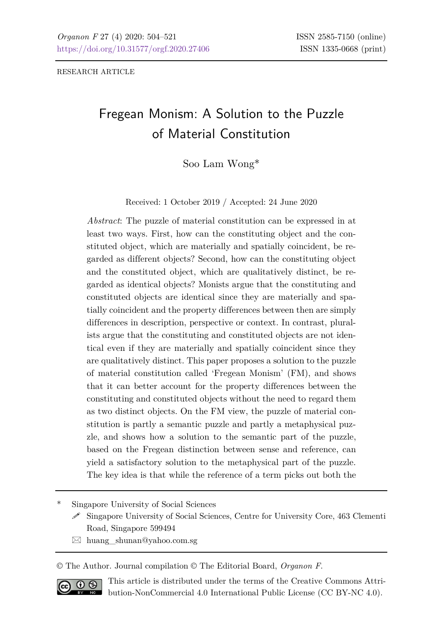RESEARCH ARTICLE

# Fregean Monism: A Solution to the Puzzle of Material Constitution

Soo Lam Wong\*

Received: 1 October 2019 / Accepted: 24 June 2020

*Abstract*: The puzzle of material constitution can be expressed in at least two ways. First, how can the constituting object and the constituted object, which are materially and spatially coincident, be regarded as different objects? Second, how can the constituting object and the constituted object, which are qualitatively distinct, be regarded as identical objects? Monists argue that the constituting and constituted objects are identical since they are materially and spatially coincident and the property differences between then are simply differences in description, perspective or context. In contrast, pluralists argue that the constituting and constituted objects are not identical even if they are materially and spatially coincident since they are qualitatively distinct. This paper proposes a solution to the puzzle of material constitution called 'Fregean Monism' (FM), and shows that it can better account for the property differences between the constituting and constituted objects without the need to regard them as two distinct objects. On the FM view, the puzzle of material constitution is partly a semantic puzzle and partly a metaphysical puzzle, and shows how a solution to the semantic part of the puzzle, based on the Fregean distinction between sense and reference, can yield a satisfactory solution to the metaphysical part of the puzzle. The key idea is that while the reference of a term picks out both the

Singapore University of Social Sciences

- $\mathscr S$  Singapore University of Social Sciences, Centre for University Core, 463 Clementi Road, Singapore 599494
- $\boxtimes$  huang shunan@yahoo.com.sg

© The Author. Journal compilation © The Editorial Board, *Organon F*.



This article is distributed under the terms of the Creative Commons Attribution-NonCommercial 4.0 International Public License (CC BY-NC 4.0).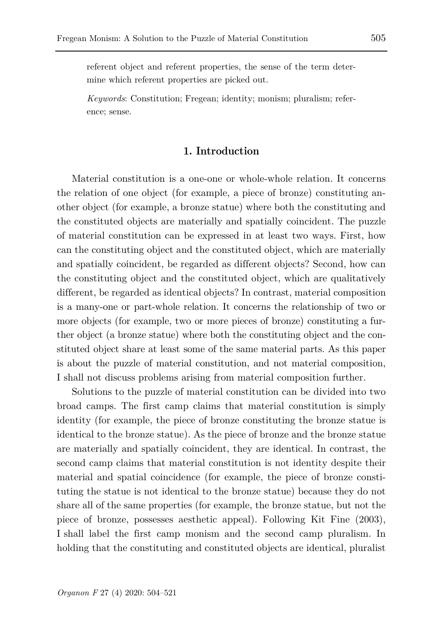referent object and referent properties, the sense of the term determine which referent properties are picked out.

*Keywords*: Constitution; Fregean; identity; monism; pluralism; reference; sense.

#### **1. Introduction**

Material constitution is a one-one or whole-whole relation. It concerns the relation of one object (for example, a piece of bronze) constituting another object (for example, a bronze statue) where both the constituting and the constituted objects are materially and spatially coincident. The puzzle of material constitution can be expressed in at least two ways. First, how can the constituting object and the constituted object, which are materially and spatially coincident, be regarded as different objects? Second, how can the constituting object and the constituted object, which are qualitatively different, be regarded as identical objects? In contrast, material composition is a many-one or part-whole relation. It concerns the relationship of two or more objects (for example, two or more pieces of bronze) constituting a further object (a bronze statue) where both the constituting object and the constituted object share at least some of the same material parts. As this paper is about the puzzle of material constitution, and not material composition, I shall not discuss problems arising from material composition further.

Solutions to the puzzle of material constitution can be divided into two broad camps. The first camp claims that material constitution is simply identity (for example, the piece of bronze constituting the bronze statue is identical to the bronze statue). As the piece of bronze and the bronze statue are materially and spatially coincident, they are identical. In contrast, the second camp claims that material constitution is not identity despite their material and spatial coincidence (for example, the piece of bronze constituting the statue is not identical to the bronze statue) because they do not share all of the same properties (for example, the bronze statue, but not the piece of bronze, possesses aesthetic appeal). Following Kit Fine (2003), I shall label the first camp monism and the second camp pluralism. In holding that the constituting and constituted objects are identical, pluralist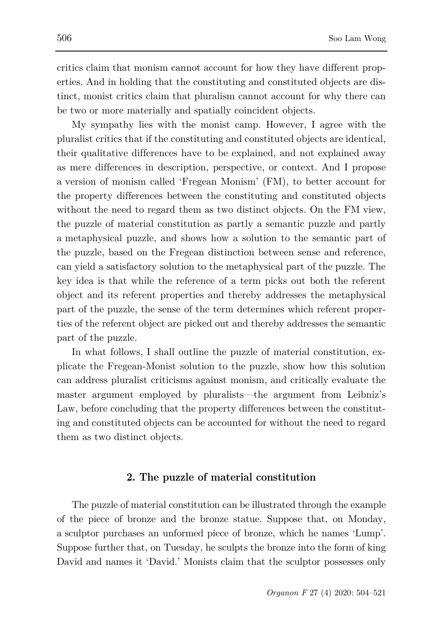critics claim that monism cannot account for how they have different properties. And in holding that the constituting and constituted objects are distinct, monist critics claim that pluralism cannot account for why there can be two or more materially and spatially coincident objects.

My sympathy lies with the monist camp. However, I agree with the pluralist critics that if the constituting and constituted objects are identical, their qualitative differences have to be explained, and not explained away as mere differences in description, perspective, or context. And I propose a version of monism called 'Fregean Monism' (FM), to better account for the property differences between the constituting and constituted objects without the need to regard them as two distinct objects. On the FM view, the puzzle of material constitution as partly a semantic puzzle and partly a metaphysical puzzle, and shows how a solution to the semantic part of the puzzle, based on the Fregean distinction between sense and reference, can yield a satisfactory solution to the metaphysical part of the puzzle. The key idea is that while the reference of a term picks out both the referent object and its referent properties and thereby addresses the metaphysical part of the puzzle, the sense of the term determines which referent properties of the referent object are picked out and thereby addresses the semantic part of the puzzle.

In what follows, I shall outline the puzzle of material constitution, explicate the Fregean-Monist solution to the puzzle, show how this solution can address pluralist criticisms against monism, and critically evaluate the master argument employed by pluralists—the argument from Leibniz's Law, before concluding that the property differences between the constituting and constituted objects can be accounted for without the need to regard them as two distinct objects.

### **2. The puzzle of material constitution**

The puzzle of material constitution can be illustrated through the example of the piece of bronze and the bronze statue. Suppose that, on Monday, a sculptor purchases an unformed piece of bronze, which he names 'Lump'. Suppose further that, on Tuesday, he sculpts the bronze into the form of king David and names it 'David.' Monists claim that the sculptor possesses only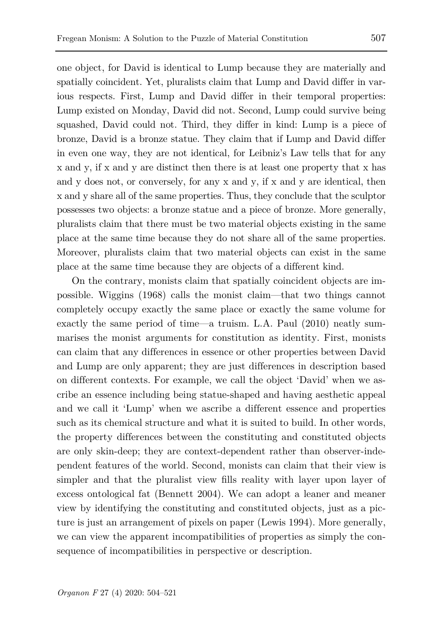one object, for David is identical to Lump because they are materially and spatially coincident. Yet, pluralists claim that Lump and David differ in various respects. First, Lump and David differ in their temporal properties: Lump existed on Monday, David did not. Second, Lump could survive being squashed, David could not. Third, they differ in kind: Lump is a piece of bronze, David is a bronze statue. They claim that if Lump and David differ in even one way, they are not identical, for Leibniz's Law tells that for any x and y, if x and y are distinct then there is at least one property that x has and y does not, or conversely, for any x and y, if x and y are identical, then x and y share all of the same properties. Thus, they conclude that the sculptor possesses two objects: a bronze statue and a piece of bronze. More generally, pluralists claim that there must be two material objects existing in the same place at the same time because they do not share all of the same properties. Moreover, pluralists claim that two material objects can exist in the same place at the same time because they are objects of a different kind.

On the contrary, monists claim that spatially coincident objects are impossible. Wiggins (1968) calls the monist claim—that two things cannot completely occupy exactly the same place or exactly the same volume for exactly the same period of time—a truism. L.A. Paul (2010) neatly summarises the monist arguments for constitution as identity. First, monists can claim that any differences in essence or other properties between David and Lump are only apparent; they are just differences in description based on different contexts. For example, we call the object 'David' when we ascribe an essence including being statue-shaped and having aesthetic appeal and we call it 'Lump' when we ascribe a different essence and properties such as its chemical structure and what it is suited to build. In other words, the property differences between the constituting and constituted objects are only skin-deep; they are context-dependent rather than observer-independent features of the world. Second, monists can claim that their view is simpler and that the pluralist view fills reality with layer upon layer of excess ontological fat (Bennett 2004). We can adopt a leaner and meaner view by identifying the constituting and constituted objects, just as a picture is just an arrangement of pixels on paper (Lewis 1994). More generally, we can view the apparent incompatibilities of properties as simply the consequence of incompatibilities in perspective or description.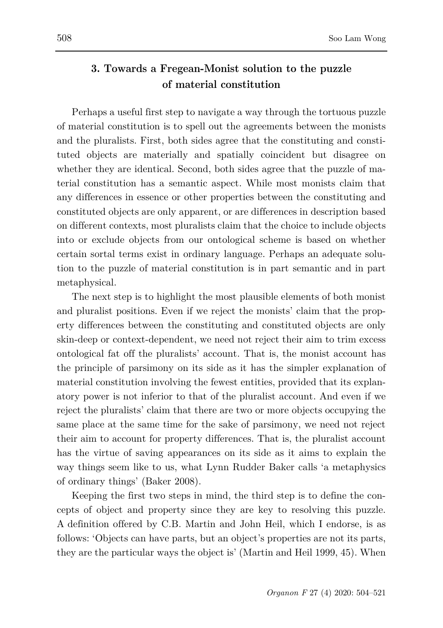## **3. Towards a Fregean-Monist solution to the puzzle of material constitution**

Perhaps a useful first step to navigate a way through the tortuous puzzle of material constitution is to spell out the agreements between the monists and the pluralists. First, both sides agree that the constituting and constituted objects are materially and spatially coincident but disagree on whether they are identical. Second, both sides agree that the puzzle of material constitution has a semantic aspect. While most monists claim that any differences in essence or other properties between the constituting and constituted objects are only apparent, or are differences in description based on different contexts, most pluralists claim that the choice to include objects into or exclude objects from our ontological scheme is based on whether certain sortal terms exist in ordinary language. Perhaps an adequate solution to the puzzle of material constitution is in part semantic and in part metaphysical.

The next step is to highlight the most plausible elements of both monist and pluralist positions. Even if we reject the monists' claim that the property differences between the constituting and constituted objects are only skin-deep or context-dependent, we need not reject their aim to trim excess ontological fat off the pluralists' account. That is, the monist account has the principle of parsimony on its side as it has the simpler explanation of material constitution involving the fewest entities, provided that its explanatory power is not inferior to that of the pluralist account. And even if we reject the pluralists' claim that there are two or more objects occupying the same place at the same time for the sake of parsimony, we need not reject their aim to account for property differences. That is, the pluralist account has the virtue of saving appearances on its side as it aims to explain the way things seem like to us, what Lynn Rudder Baker calls 'a metaphysics of ordinary things' (Baker 2008).

Keeping the first two steps in mind, the third step is to define the concepts of object and property since they are key to resolving this puzzle. A definition offered by C.B. Martin and John Heil, which I endorse, is as follows: 'Objects can have parts, but an object's properties are not its parts, they are the particular ways the object is' (Martin and Heil 1999, 45). When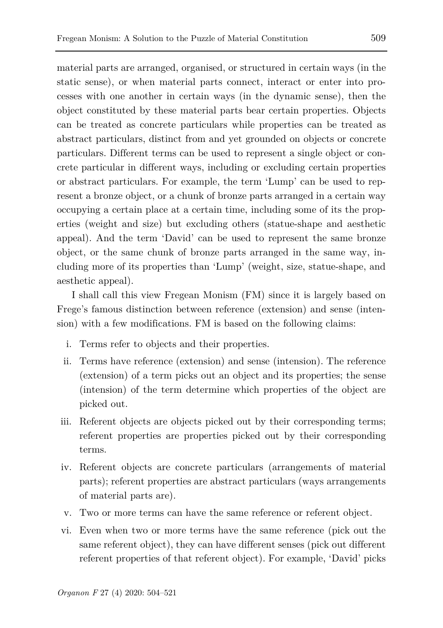material parts are arranged, organised, or structured in certain ways (in the static sense), or when material parts connect, interact or enter into processes with one another in certain ways (in the dynamic sense), then the object constituted by these material parts bear certain properties. Objects can be treated as concrete particulars while properties can be treated as abstract particulars, distinct from and yet grounded on objects or concrete particulars. Different terms can be used to represent a single object or concrete particular in different ways, including or excluding certain properties or abstract particulars. For example, the term 'Lump' can be used to represent a bronze object, or a chunk of bronze parts arranged in a certain way occupying a certain place at a certain time, including some of its the properties (weight and size) but excluding others (statue-shape and aesthetic appeal). And the term 'David' can be used to represent the same bronze object, or the same chunk of bronze parts arranged in the same way, including more of its properties than 'Lump' (weight, size, statue-shape, and aesthetic appeal).

I shall call this view Fregean Monism (FM) since it is largely based on Frege's famous distinction between reference (extension) and sense (intension) with a few modifications. FM is based on the following claims:

- i. Terms refer to objects and their properties.
- ii. Terms have reference (extension) and sense (intension). The reference (extension) of a term picks out an object and its properties; the sense (intension) of the term determine which properties of the object are picked out.
- iii. Referent objects are objects picked out by their corresponding terms; referent properties are properties picked out by their corresponding terms.
- iv. Referent objects are concrete particulars (arrangements of material parts); referent properties are abstract particulars (ways arrangements of material parts are).
- v. Two or more terms can have the same reference or referent object.
- vi. Even when two or more terms have the same reference (pick out the same referent object), they can have different senses (pick out different referent properties of that referent object). For example, 'David' picks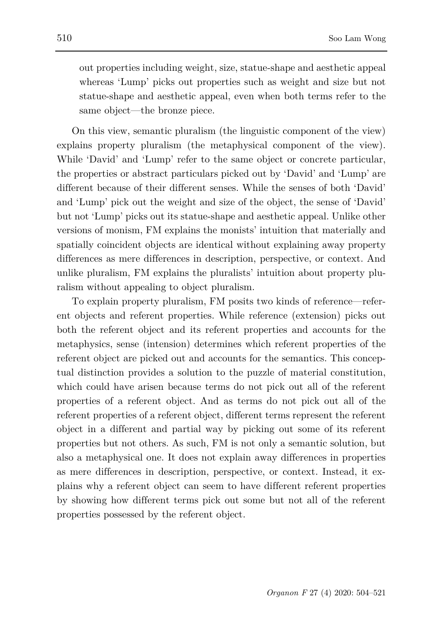out properties including weight, size, statue-shape and aesthetic appeal whereas 'Lump' picks out properties such as weight and size but not statue-shape and aesthetic appeal, even when both terms refer to the same object—the bronze piece.

On this view, semantic pluralism (the linguistic component of the view) explains property pluralism (the metaphysical component of the view). While 'David' and 'Lump' refer to the same object or concrete particular, the properties or abstract particulars picked out by 'David' and 'Lump' are different because of their different senses. While the senses of both 'David' and 'Lump' pick out the weight and size of the object, the sense of 'David' but not 'Lump' picks out its statue-shape and aesthetic appeal. Unlike other versions of monism, FM explains the monists' intuition that materially and spatially coincident objects are identical without explaining away property differences as mere differences in description, perspective, or context. And unlike pluralism, FM explains the pluralists' intuition about property pluralism without appealing to object pluralism.

To explain property pluralism, FM posits two kinds of reference—referent objects and referent properties. While reference (extension) picks out both the referent object and its referent properties and accounts for the metaphysics, sense (intension) determines which referent properties of the referent object are picked out and accounts for the semantics. This conceptual distinction provides a solution to the puzzle of material constitution, which could have arisen because terms do not pick out all of the referent properties of a referent object. And as terms do not pick out all of the referent properties of a referent object, different terms represent the referent object in a different and partial way by picking out some of its referent properties but not others. As such, FM is not only a semantic solution, but also a metaphysical one. It does not explain away differences in properties as mere differences in description, perspective, or context. Instead, it explains why a referent object can seem to have different referent properties by showing how different terms pick out some but not all of the referent properties possessed by the referent object.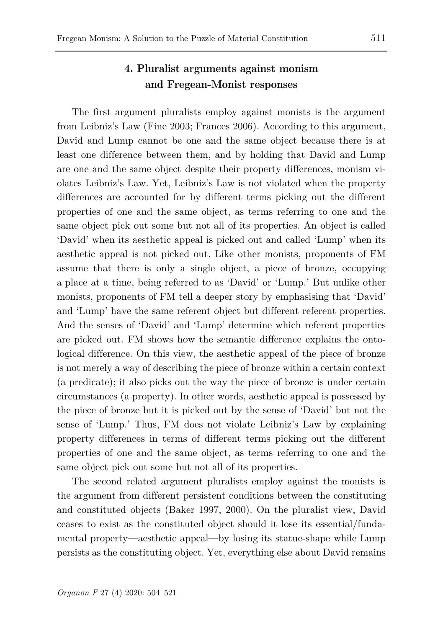### **4. Pluralist arguments against monism and Fregean-Monist responses**

The first argument pluralists employ against monists is the argument from Leibniz's Law (Fine 2003; Frances 2006). According to this argument, David and Lump cannot be one and the same object because there is at least one difference between them, and by holding that David and Lump are one and the same object despite their property differences, monism violates Leibniz's Law. Yet, Leibniz's Law is not violated when the property differences are accounted for by different terms picking out the different properties of one and the same object, as terms referring to one and the same object pick out some but not all of its properties. An object is called 'David' when its aesthetic appeal is picked out and called 'Lump' when its aesthetic appeal is not picked out. Like other monists, proponents of FM assume that there is only a single object, a piece of bronze, occupying a place at a time, being referred to as 'David' or 'Lump.' But unlike other monists, proponents of FM tell a deeper story by emphasising that 'David' and 'Lump' have the same referent object but different referent properties. And the senses of 'David' and 'Lump' determine which referent properties are picked out. FM shows how the semantic difference explains the ontological difference. On this view, the aesthetic appeal of the piece of bronze is not merely a way of describing the piece of bronze within a certain context (a predicate); it also picks out the way the piece of bronze is under certain circumstances (a property). In other words, aesthetic appeal is possessed by the piece of bronze but it is picked out by the sense of 'David' but not the sense of 'Lump.' Thus, FM does not violate Leibniz's Law by explaining property differences in terms of different terms picking out the different properties of one and the same object, as terms referring to one and the same object pick out some but not all of its properties.

The second related argument pluralists employ against the monists is the argument from different persistent conditions between the constituting and constituted objects (Baker 1997, 2000). On the pluralist view, David ceases to exist as the constituted object should it lose its essential/fundamental property—aesthetic appeal—by losing its statue-shape while Lump persists as the constituting object. Yet, everything else about David remains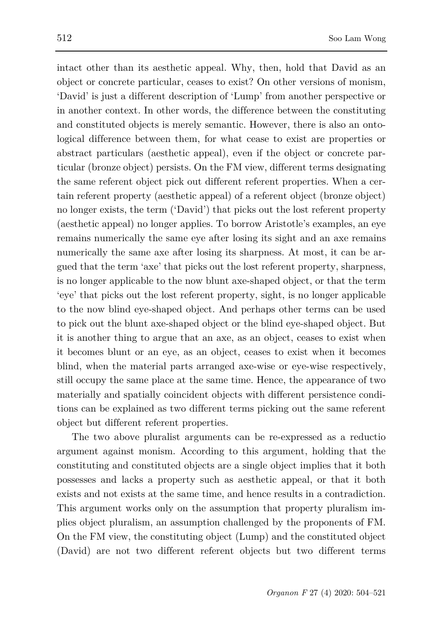intact other than its aesthetic appeal. Why, then, hold that David as an object or concrete particular, ceases to exist? On other versions of monism, 'David' is just a different description of 'Lump' from another perspective or in another context. In other words, the difference between the constituting and constituted objects is merely semantic. However, there is also an ontological difference between them, for what cease to exist are properties or abstract particulars (aesthetic appeal), even if the object or concrete particular (bronze object) persists. On the FM view, different terms designating the same referent object pick out different referent properties. When a certain referent property (aesthetic appeal) of a referent object (bronze object) no longer exists, the term ('David') that picks out the lost referent property (aesthetic appeal) no longer applies. To borrow Aristotle's examples, an eye remains numerically the same eye after losing its sight and an axe remains numerically the same axe after losing its sharpness. At most, it can be argued that the term 'axe' that picks out the lost referent property, sharpness, is no longer applicable to the now blunt axe-shaped object, or that the term 'eye' that picks out the lost referent property, sight, is no longer applicable to the now blind eye-shaped object. And perhaps other terms can be used to pick out the blunt axe-shaped object or the blind eye-shaped object. But it is another thing to argue that an axe, as an object, ceases to exist when it becomes blunt or an eye, as an object, ceases to exist when it becomes blind, when the material parts arranged axe-wise or eye-wise respectively, still occupy the same place at the same time. Hence, the appearance of two materially and spatially coincident objects with different persistence conditions can be explained as two different terms picking out the same referent object but different referent properties.

The two above pluralist arguments can be re-expressed as a reductio argument against monism. According to this argument, holding that the constituting and constituted objects are a single object implies that it both possesses and lacks a property such as aesthetic appeal, or that it both exists and not exists at the same time, and hence results in a contradiction. This argument works only on the assumption that property pluralism implies object pluralism, an assumption challenged by the proponents of FM. On the FM view, the constituting object (Lump) and the constituted object (David) are not two different referent objects but two different terms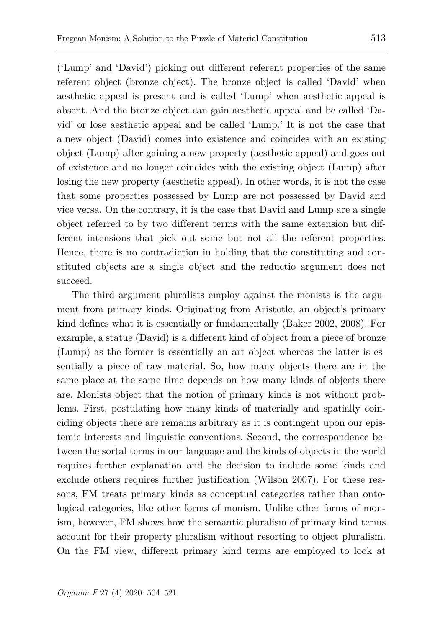('Lump' and 'David') picking out different referent properties of the same referent object (bronze object). The bronze object is called 'David' when aesthetic appeal is present and is called 'Lump' when aesthetic appeal is absent. And the bronze object can gain aesthetic appeal and be called 'David' or lose aesthetic appeal and be called 'Lump.' It is not the case that a new object (David) comes into existence and coincides with an existing object (Lump) after gaining a new property (aesthetic appeal) and goes out of existence and no longer coincides with the existing object (Lump) after losing the new property (aesthetic appeal). In other words, it is not the case that some properties possessed by Lump are not possessed by David and vice versa. On the contrary, it is the case that David and Lump are a single object referred to by two different terms with the same extension but different intensions that pick out some but not all the referent properties. Hence, there is no contradiction in holding that the constituting and constituted objects are a single object and the reductio argument does not succeed.

The third argument pluralists employ against the monists is the argument from primary kinds. Originating from Aristotle, an object's primary kind defines what it is essentially or fundamentally (Baker 2002, 2008). For example, a statue (David) is a different kind of object from a piece of bronze (Lump) as the former is essentially an art object whereas the latter is essentially a piece of raw material. So, how many objects there are in the same place at the same time depends on how many kinds of objects there are. Monists object that the notion of primary kinds is not without problems. First, postulating how many kinds of materially and spatially coinciding objects there are remains arbitrary as it is contingent upon our epistemic interests and linguistic conventions. Second, the correspondence between the sortal terms in our language and the kinds of objects in the world requires further explanation and the decision to include some kinds and exclude others requires further justification (Wilson 2007). For these reasons, FM treats primary kinds as conceptual categories rather than ontological categories, like other forms of monism. Unlike other forms of monism, however, FM shows how the semantic pluralism of primary kind terms account for their property pluralism without resorting to object pluralism. On the FM view, different primary kind terms are employed to look at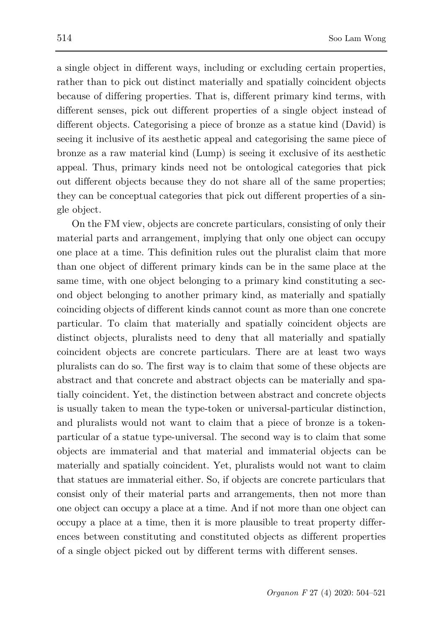a single object in different ways, including or excluding certain properties, rather than to pick out distinct materially and spatially coincident objects because of differing properties. That is, different primary kind terms, with different senses, pick out different properties of a single object instead of different objects. Categorising a piece of bronze as a statue kind (David) is seeing it inclusive of its aesthetic appeal and categorising the same piece of bronze as a raw material kind (Lump) is seeing it exclusive of its aesthetic appeal. Thus, primary kinds need not be ontological categories that pick out different objects because they do not share all of the same properties; they can be conceptual categories that pick out different properties of a single object.

On the FM view, objects are concrete particulars, consisting of only their material parts and arrangement, implying that only one object can occupy one place at a time. This definition rules out the pluralist claim that more than one object of different primary kinds can be in the same place at the same time, with one object belonging to a primary kind constituting a second object belonging to another primary kind, as materially and spatially coinciding objects of different kinds cannot count as more than one concrete particular. To claim that materially and spatially coincident objects are distinct objects, pluralists need to deny that all materially and spatially coincident objects are concrete particulars. There are at least two ways pluralists can do so. The first way is to claim that some of these objects are abstract and that concrete and abstract objects can be materially and spatially coincident. Yet, the distinction between abstract and concrete objects is usually taken to mean the type-token or universal-particular distinction, and pluralists would not want to claim that a piece of bronze is a tokenparticular of a statue type-universal. The second way is to claim that some objects are immaterial and that material and immaterial objects can be materially and spatially coincident. Yet, pluralists would not want to claim that statues are immaterial either. So, if objects are concrete particulars that consist only of their material parts and arrangements, then not more than one object can occupy a place at a time. And if not more than one object can occupy a place at a time, then it is more plausible to treat property differences between constituting and constituted objects as different properties of a single object picked out by different terms with different senses.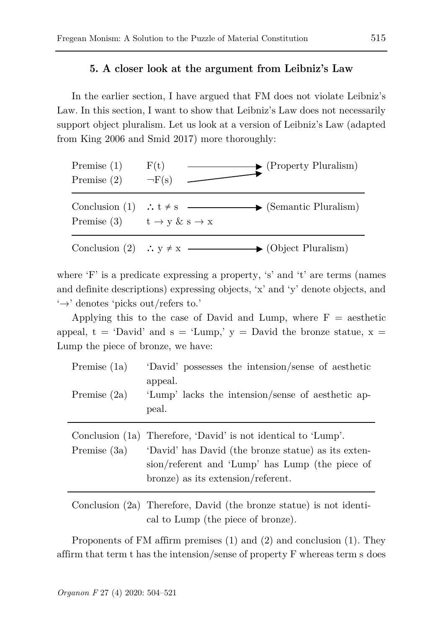### **5. A closer look at the argument from Leibniz's Law**

In the earlier section, I have argued that FM does not violate Leibniz's Law. In this section, I want to show that Leibniz's Law does not necessarily support object pluralism. Let us look at a version of Leibniz's Law (adapted from King 2006 and Smid 2017) more thoroughly:



where 'F' is a predicate expressing a property, 's' and 't' are terms (names and definite descriptions) expressing objects, 'x' and 'y' denote objects, and  $\leftrightarrow$  denotes 'picks out/refers to.'

Applying this to the case of David and Lump, where  $F =$  aesthetic appeal,  $t = 'David'$  and  $s = 'Lump,' y = David'$  the bronze statue,  $x =$ Lump the piece of bronze, we have:

| appeal.        | 'Lump' lacks the intension/sense of aesthetic ap-                                                                                                                                                              |
|----------------|----------------------------------------------------------------------------------------------------------------------------------------------------------------------------------------------------------------|
| Premise $(2a)$ | peal.                                                                                                                                                                                                          |
| Premise (3a)   | Conclusion (1a) Therefore, 'David' is not identical to 'Lump'.<br>'David' has David (the bronze statue) as its exten-<br>sion/referent and 'Lump' has Lump (the piece of<br>bronze) as its extension/referent. |

Conclusion (2a) Therefore, David (the bronze statue) is not identical to Lump (the piece of bronze).

Proponents of FM affirm premises (1) and (2) and conclusion (1). They affirm that term t has the intension/sense of property F whereas term s does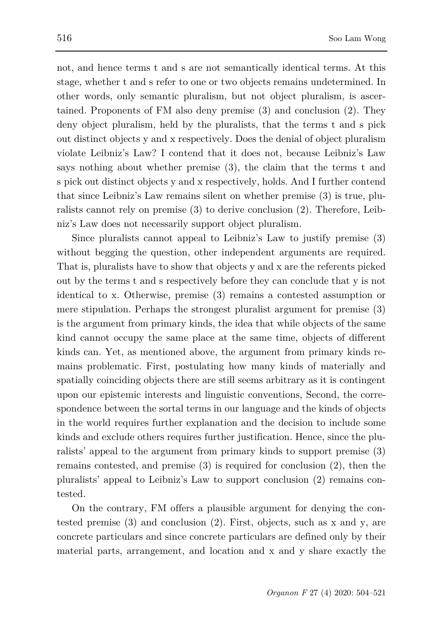not, and hence terms t and s are not semantically identical terms. At this stage, whether t and s refer to one or two objects remains undetermined. In other words, only semantic pluralism, but not object pluralism, is ascertained. Proponents of FM also deny premise (3) and conclusion (2). They deny object pluralism, held by the pluralists, that the terms t and s pick out distinct objects y and x respectively. Does the denial of object pluralism violate Leibniz's Law? I contend that it does not, because Leibniz's Law says nothing about whether premise (3), the claim that the terms t and s pick out distinct objects y and x respectively, holds. And I further contend that since Leibniz's Law remains silent on whether premise (3) is true, pluralists cannot rely on premise (3) to derive conclusion (2). Therefore, Leibniz's Law does not necessarily support object pluralism.

Since pluralists cannot appeal to Leibniz's Law to justify premise (3) without begging the question, other independent arguments are required. That is, pluralists have to show that objects y and x are the referents picked out by the terms t and s respectively before they can conclude that y is not identical to x. Otherwise, premise (3) remains a contested assumption or mere stipulation. Perhaps the strongest pluralist argument for premise (3) is the argument from primary kinds, the idea that while objects of the same kind cannot occupy the same place at the same time, objects of different kinds can. Yet, as mentioned above, the argument from primary kinds remains problematic. First, postulating how many kinds of materially and spatially coinciding objects there are still seems arbitrary as it is contingent upon our epistemic interests and linguistic conventions, Second, the correspondence between the sortal terms in our language and the kinds of objects in the world requires further explanation and the decision to include some kinds and exclude others requires further justification. Hence, since the pluralists' appeal to the argument from primary kinds to support premise (3) remains contested, and premise (3) is required for conclusion (2), then the pluralists' appeal to Leibniz's Law to support conclusion (2) remains contested.

On the contrary, FM offers a plausible argument for denying the contested premise  $(3)$  and conclusion  $(2)$ . First, objects, such as x and y, are concrete particulars and since concrete particulars are defined only by their material parts, arrangement, and location and x and y share exactly the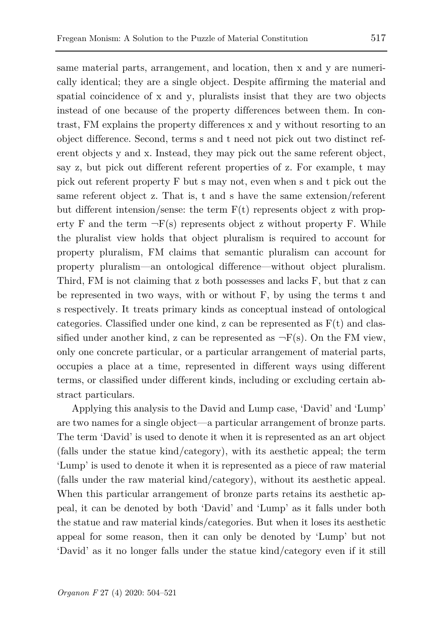same material parts, arrangement, and location, then x and y are numerically identical; they are a single object. Despite affirming the material and spatial coincidence of x and y, pluralists insist that they are two objects instead of one because of the property differences between them. In contrast, FM explains the property differences x and y without resorting to an object difference. Second, terms s and t need not pick out two distinct referent objects y and x. Instead, they may pick out the same referent object, say z, but pick out different referent properties of z. For example, t may pick out referent property F but s may not, even when s and t pick out the same referent object z. That is, t and s have the same extension/referent but different intension/sense: the term  $F(t)$  represents object z with property F and the term  $\neg$ F(s) represents object z without property F. While the pluralist view holds that object pluralism is required to account for property pluralism, FM claims that semantic pluralism can account for property pluralism—an ontological difference—without object pluralism. Third, FM is not claiming that z both possesses and lacks F, but that z can be represented in two ways, with or without F, by using the terms t and s respectively. It treats primary kinds as conceptual instead of ontological categories. Classified under one kind, z can be represented as  $F(t)$  and classified under another kind, z can be represented as  $\neg$ F(s). On the FM view, only one concrete particular, or a particular arrangement of material parts, occupies a place at a time, represented in different ways using different terms, or classified under different kinds, including or excluding certain abstract particulars.

Applying this analysis to the David and Lump case, 'David' and 'Lump' are two names for a single object—a particular arrangement of bronze parts. The term 'David' is used to denote it when it is represented as an art object (falls under the statue kind/category), with its aesthetic appeal; the term 'Lump' is used to denote it when it is represented as a piece of raw material (falls under the raw material kind/category), without its aesthetic appeal. When this particular arrangement of bronze parts retains its aesthetic appeal, it can be denoted by both 'David' and 'Lump' as it falls under both the statue and raw material kinds/categories. But when it loses its aesthetic appeal for some reason, then it can only be denoted by 'Lump' but not 'David' as it no longer falls under the statue kind/category even if it still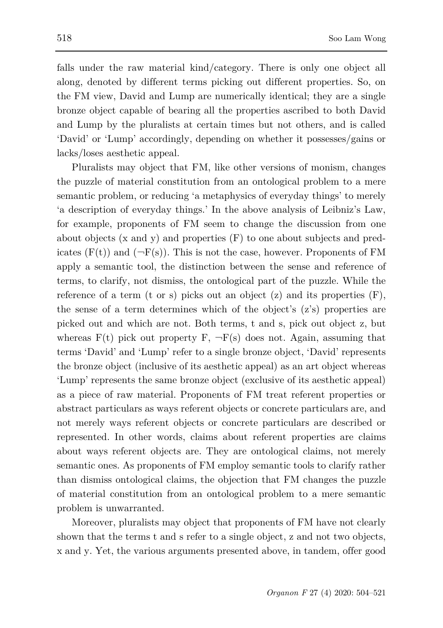falls under the raw material kind/category. There is only one object all along, denoted by different terms picking out different properties. So, on the FM view, David and Lump are numerically identical; they are a single bronze object capable of bearing all the properties ascribed to both David and Lump by the pluralists at certain times but not others, and is called 'David' or 'Lump' accordingly, depending on whether it possesses/gains or lacks/loses aesthetic appeal.

Pluralists may object that FM, like other versions of monism, changes the puzzle of material constitution from an ontological problem to a mere semantic problem, or reducing 'a metaphysics of everyday things' to merely 'a description of everyday things.' In the above analysis of Leibniz's Law, for example, proponents of FM seem to change the discussion from one about objects (x and y) and properties (F) to one about subjects and predicates  $(F(t))$  and  $(\neg F(s))$ . This is not the case, however. Proponents of FM apply a semantic tool, the distinction between the sense and reference of terms, to clarify, not dismiss, the ontological part of the puzzle. While the reference of a term (t or s) picks out an object  $(z)$  and its properties  $(F)$ , the sense of a term determines which of the object's (z's) properties are picked out and which are not. Both terms, t and s, pick out object z, but whereas  $F(t)$  pick out property  $F$ ,  $\neg F(s)$  does not. Again, assuming that terms 'David' and 'Lump' refer to a single bronze object, 'David' represents the bronze object (inclusive of its aesthetic appeal) as an art object whereas 'Lump' represents the same bronze object (exclusive of its aesthetic appeal) as a piece of raw material. Proponents of FM treat referent properties or abstract particulars as ways referent objects or concrete particulars are, and not merely ways referent objects or concrete particulars are described or represented. In other words, claims about referent properties are claims about ways referent objects are. They are ontological claims, not merely semantic ones. As proponents of FM employ semantic tools to clarify rather than dismiss ontological claims, the objection that FM changes the puzzle of material constitution from an ontological problem to a mere semantic problem is unwarranted.

Moreover, pluralists may object that proponents of FM have not clearly shown that the terms t and s refer to a single object, z and not two objects, x and y. Yet, the various arguments presented above, in tandem, offer good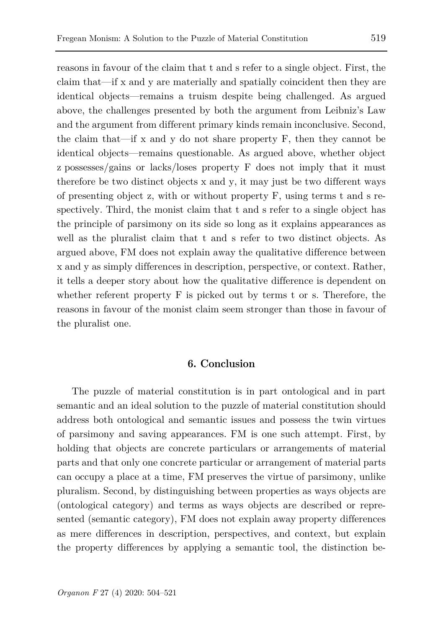reasons in favour of the claim that t and s refer to a single object. First, the claim that—if x and y are materially and spatially coincident then they are identical objects—remains a truism despite being challenged. As argued above, the challenges presented by both the argument from Leibniz's Law and the argument from different primary kinds remain inconclusive. Second, the claim that—if x and y do not share property F, then they cannot be identical objects—remains questionable. As argued above, whether object z possesses/gains or lacks/loses property F does not imply that it must therefore be two distinct objects x and y, it may just be two different ways of presenting object z, with or without property F, using terms t and s respectively. Third, the monist claim that t and s refer to a single object has the principle of parsimony on its side so long as it explains appearances as well as the pluralist claim that t and s refer to two distinct objects. As argued above, FM does not explain away the qualitative difference between x and y as simply differences in description, perspective, or context. Rather, it tells a deeper story about how the qualitative difference is dependent on whether referent property F is picked out by terms t or s. Therefore, the reasons in favour of the monist claim seem stronger than those in favour of the pluralist one.

### **6. Conclusion**

The puzzle of material constitution is in part ontological and in part semantic and an ideal solution to the puzzle of material constitution should address both ontological and semantic issues and possess the twin virtues of parsimony and saving appearances. FM is one such attempt. First, by holding that objects are concrete particulars or arrangements of material parts and that only one concrete particular or arrangement of material parts can occupy a place at a time, FM preserves the virtue of parsimony, unlike pluralism. Second, by distinguishing between properties as ways objects are (ontological category) and terms as ways objects are described or represented (semantic category), FM does not explain away property differences as mere differences in description, perspectives, and context, but explain the property differences by applying a semantic tool, the distinction be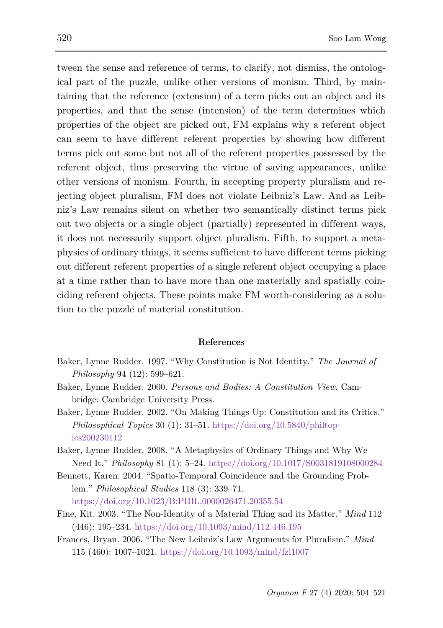tween the sense and reference of terms, to clarify, not dismiss, the ontological part of the puzzle, unlike other versions of monism. Third, by maintaining that the reference (extension) of a term picks out an object and its properties, and that the sense (intension) of the term determines which properties of the object are picked out, FM explains why a referent object can seem to have different referent properties by showing how different terms pick out some but not all of the referent properties possessed by the referent object, thus preserving the virtue of saving appearances, unlike other versions of monism. Fourth, in accepting property pluralism and rejecting object pluralism, FM does not violate Leibniz's Law. And as Leibniz's Law remains silent on whether two semantically distinct terms pick out two objects or a single object (partially) represented in different ways, it does not necessarily support object pluralism. Fifth, to support a metaphysics of ordinary things, it seems sufficient to have different terms picking out different referent properties of a single referent object occupying a place at a time rather than to have more than one materially and spatially coinciding referent objects. These points make FM worth-considering as a solution to the puzzle of material constitution.

#### **References**

- Baker, Lynne Rudder. 1997. "Why Constitution is Not Identity." *The Journal of Philosophy* 94 (12): 599–621.
- Baker, Lynne Rudder. 2000. *Persons and Bodies: A Constitution View*. Cambridge: Cambridge University Press.
- Baker, Lynne Rudder. 2002. "On Making Things Up: Constitution and its Critics." *Philosophical Topics* 30 (1): 31–51. [https://doi.org/10.5840/philtop](https://doi.org/10.5840/philtopics200230112)[ics200230112](https://doi.org/10.5840/philtopics200230112)
- Baker, Lynne Rudder. 2008. "A Metaphysics of Ordinary Things and Why We Need It." *Philosophy* 81 (1): 5–24.<https://doi.org/10.1017/S0031819108000284>
- Bennett, Karen. 2004. "Spatio-Temporal Coincidence and the Grounding Problem." *Philosophical Studies* 118 (3): 339–71. <https://doi.org/10.1023/B:PHIL.0000026471.20355.54>
- Fine, Kit. 2003. "The Non-Identity of a Material Thing and its Matter." *Mind* 112 (446): 195–234.<https://doi.org/10.1093/mind/112.446.195>
- Frances, Bryan. 2006. "The New Leibniz's Law Arguments for Pluralism." *Mind* 115 (460): 1007–1021*.* <https://doi.org/10.1093/mind/fzl1007>